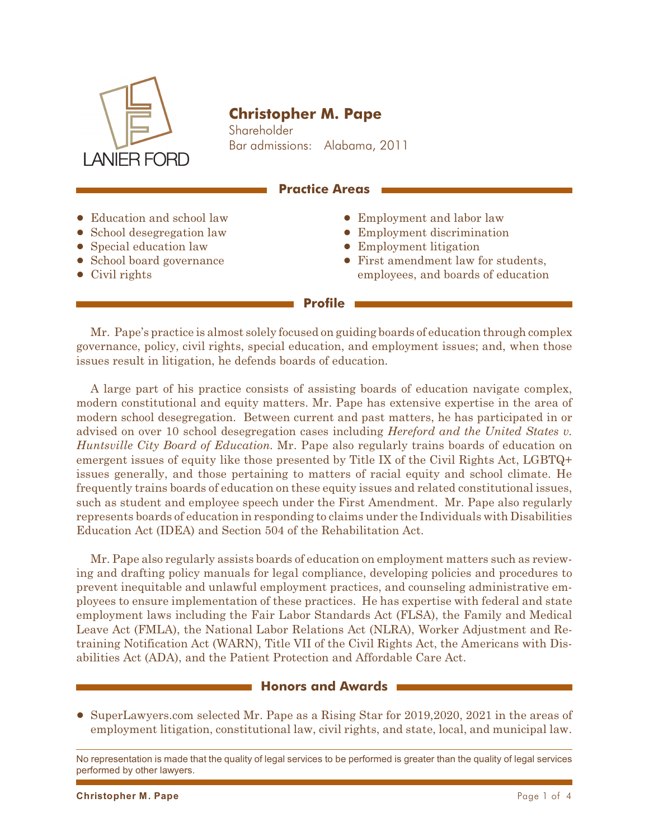

# **Christopher M. Pape**

Shareholder Bar admissions: Alabama, 2011

#### **Practice Areas**

- Education and school law
- School desegregation law
- Special education law
- School board governance
- $\bullet$  Civil rights
- Employment and labor law
- Employment discrimination
- Employment litigation
- ! First amendment law for students, employees, and boards of education

#### **Profile**

Mr. Pape's practice is almost solely focused on guiding boards of education through complex governance, policy, civil rights, special education, and employment issues; and, when those issues result in litigation, he defends boards of education.

A large part of his practice consists of assisting boards of education navigate complex, modern constitutional and equity matters. Mr. Pape has extensive expertise in the area of modern school desegregation. Between current and past matters, he has participated in or advised on over 10 school desegregation cases including *Hereford and the United States v. Huntsville City Board of Education.* Mr. Pape also regularly trains boards of education on emergent issues of equity like those presented by Title IX of the Civil Rights Act, LGBTQ+ issues generally, and those pertaining to matters of racial equity and school climate. He frequently trains boards of education on these equity issues and related constitutional issues, such as student and employee speech under the First Amendment.Mr. Pape also regularly represents boards of education in responding to claims under the Individuals with Disabilities Education Act (IDEA) and Section 504 of the Rehabilitation Act.

Mr. Pape also regularly assists boards of education on employment matters such as reviewing and drafting policy manuals for legal compliance, developing policies and procedures to prevent inequitable and unlawful employment practices, and counseling administrative employees to ensure implementation of these practices. He has expertise with federal and state employment laws including the Fair Labor Standards Act (FLSA), the Family and Medical Leave Act (FMLA), the National Labor Relations Act (NLRA), Worker Adjustment and Retraining Notification Act (WARN), Title VII of the Civil Rights Act, the Americans with Disabilities Act (ADA), and the Patient Protection and Affordable Care Act.

#### **Honors and Awards**

! SuperLawyers.com selected Mr. Pape as a Rising Star for 2019,2020, 2021 in the areas of employment litigation, constitutional law, civil rights, and state, local, and municipal law.

No representation is made that the quality of legal services to be performed is greater than the quality of legal services performed by other lawyers.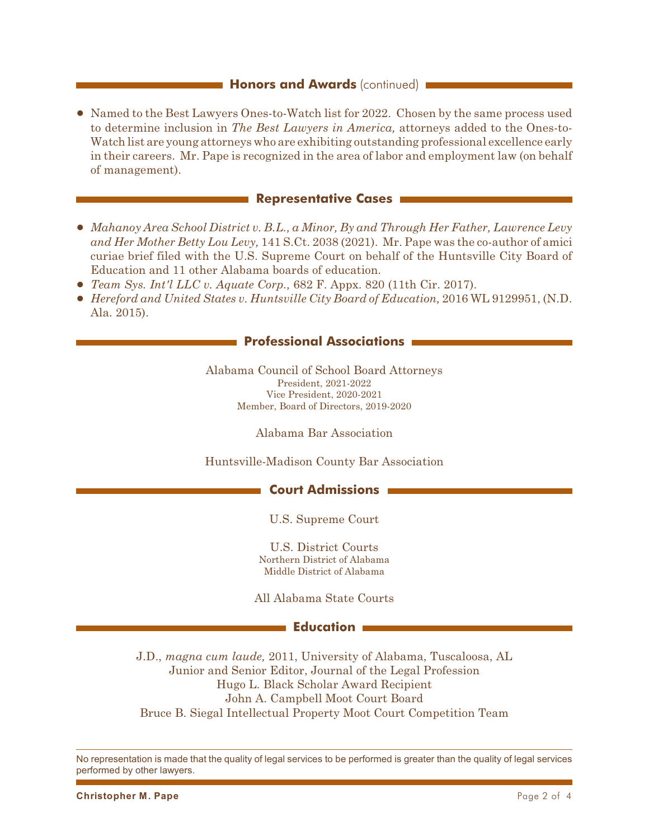#### **Honors and Awards** (continued) **i**

• Named to the Best Lawyers Ones-to-Watch list for 2022. Chosen by the same process used to determine inclusion in *The Best Lawyers in America,* attorneys added to the Ones-to-Watch list are young attorneys who are exhibiting outstanding professional excellence early in their careers. Mr. Pape is recognized in the area of labor and employment law (on behalf of management).

#### **Representative Cases**

- ! *Mahanoy Area School District v. B.L., a Minor, By and Through Her Father, Lawrence Levy and Her Mother Betty Lou Levy,* 141 S.Ct. 2038 (2021). Mr. Pape was the co-author of amici curiae brief filed with the U.S. Supreme Court on behalf of the Huntsville City Board of Education and 11 other Alabama boards of education.
- ! *Team Sys. Int'l LLC v. Aquate Corp.,* 682 F. Appx. 820 (11th Cir. 2017).
- ! *Hereford and United States v. Huntsville City Board of Education,* 2016 WL 9129951, (N.D. Ala. 2015).

# **Professional Associations**

Alabama Council of School Board Attorneys President, 2021-2022 Vice President, 2020-2021 Member, Board of Directors, 2019-2020

Alabama Bar Association

Huntsville-Madison County Bar Association

# **Court Admissions**

U.S. Supreme Court

U.S. District Courts Northern District of Alabama Middle District of Alabama

All Alabama State Courts

#### **Education**

J.D., *magna cum laude,* 2011, University of Alabama, Tuscaloosa, AL Junior and Senior Editor, Journal of the Legal Profession Hugo L. Black Scholar Award Recipient John A. Campbell Moot Court Board Bruce B. Siegal Intellectual Property Moot Court Competition Team

No representation is made that the quality of legal services to be performed is greater than the quality of legal services performed by other lawyers.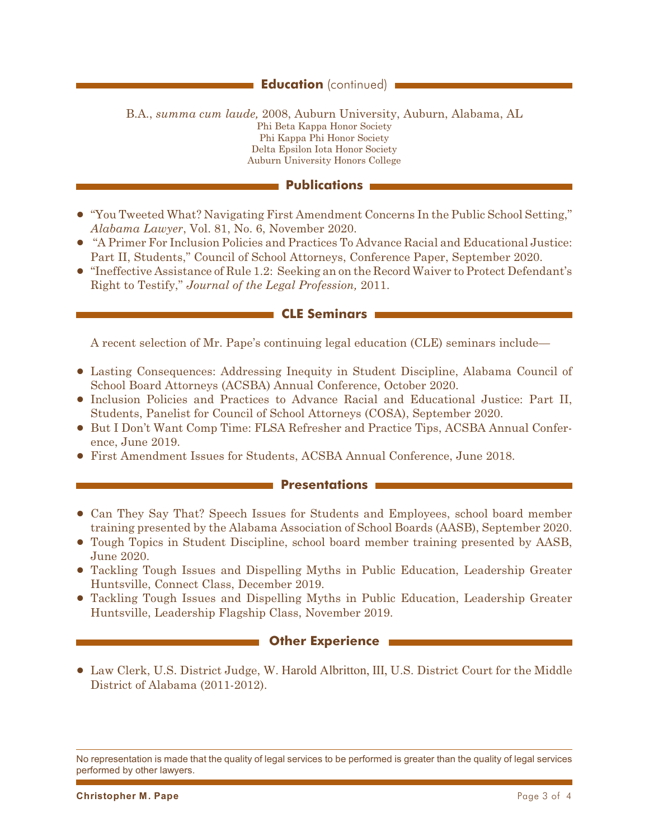# **Education** (continued) **i**

B.A., *summa cum laude,* 2008, Auburn University, Auburn, Alabama, AL Phi Beta Kappa Honor Society Phi Kappa Phi Honor Society Delta Epsilon Iota Honor Society Auburn University Honors College

### **Publications**

- ! "You Tweeted What? Navigating First Amendment Concerns In the Public School Setting," *Alabama Lawyer*, Vol. 81, No. 6, November 2020.
- ! "A Primer For Inclusion Policies and Practices To Advance Racial and Educational Justice: Part II, Students," Council of School Attorneys, Conference Paper, September 2020.
- ! "Ineffective Assistance of Rule 1.2: Seeking an on the Record Waiver to Protect Defendant's Right to Testify," *Journal of the Legal Profession,* 2011.

#### **CLE Seminars**

A recent selection of Mr. Pape's continuing legal education (CLE) seminars include—

- ! Lasting Consequences: Addressing Inequity in Student Discipline, Alabama Council of School Board Attorneys (ACSBA) Annual Conference, October 2020.
- ! Inclusion Policies and Practices to Advance Racial and Educational Justice: Part II, Students, Panelist for Council of School Attorneys (COSA), September 2020.
- ! But I Don't Want Comp Time: FLSA Refresher and Practice Tips, ACSBA Annual Conference, June 2019.
- ! First Amendment Issues for Students, ACSBA Annual Conference, June 2018.

#### **Presentations**

- ! Can They Say That? Speech Issues for Students and Employees, school board member training presented by the Alabama Association of School Boards (AASB), September 2020.
- ! Tough Topics in Student Discipline, school board member training presented by AASB, June 2020.
- ! Tackling Tough Issues and Dispelling Myths in Public Education, Leadership Greater Huntsville, Connect Class, December 2019.
- ! Tackling Tough Issues and Dispelling Myths in Public Education, Leadership Greater Huntsville, Leadership Flagship Class, November 2019.

#### **NOTHER Experience**

! Law Clerk, U.S. District Judge, W. Harold Albritton, III, U.S. District Court for the Middle District of Alabama (2011-2012).

No representation is made that the quality of legal services to be performed is greater than the quality of legal services performed by other lawyers.